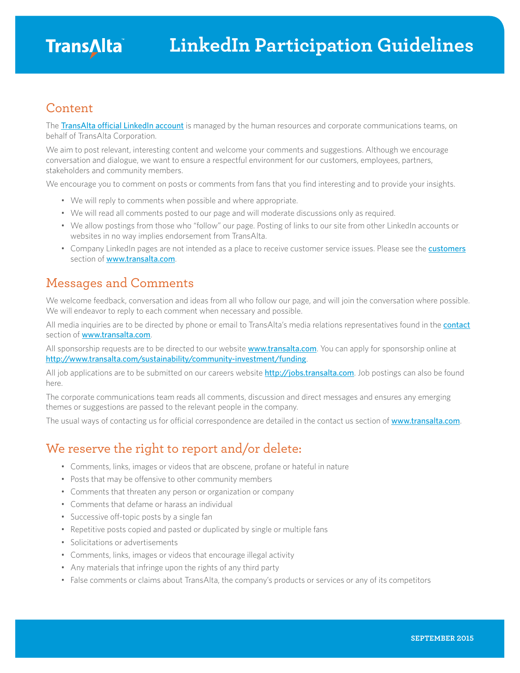#### Content

The [TransAlta official LinkedIn account](https://www.linkedin.com/company/transalta?trk=top_nav_home) is managed by the human resources and corporate communications teams, on behalf of TransAlta Corporation.

We aim to post relevant, interesting content and welcome your comments and suggestions. Although we encourage conversation and dialogue, we want to ensure a respectful environment for our customers, employees, partners, stakeholders and community members.

We encourage you to comment on posts or comments from fans that you find interesting and to provide your insights.

- We will reply to comments when possible and where appropriate.
- We will read all comments posted to our page and will moderate discussions only as required.
- We allow postings from those who "follow" our page. Posting of links to our site from other LinkedIn accounts or websites in no way implies endorsement from TransAlta.
- Company LinkedIn pages are not intended as a place to receive customer service issues. Please see the **[customers](http://www.transalta.com/customers)** section of **[www.transalta.com](http://www.transalta.com)**.

#### Messages and Comments

We welcome feedback, conversation and ideas from all who follow our page, and will join the conversation where possible. We will endeavor to reply to each comment when necessary and possible.

All media inquiries are to be directed by phone or email to TransAlta's media relations representatives found in the [contact](http://www.transalta.com/contact#headoffice) section of [www.transalta.com](http://www.transalta.com).

All sponsorship requests are to be directed to our website **[www.transalta.com](http://www.transalta.com)**. You can apply for sponsorship online at <http://www.transalta.com/sustainability/community-investment/funding>.

All job applications are to be submitted on our careers website <http://jobs.transalta.com>. Job postings can also be found here.

The corporate communications team reads all comments, discussion and direct messages and ensures any emerging themes or suggestions are passed to the relevant people in the company.

The usual ways of contacting us for official correspondence are detailed in the contact us section of [www.transalta.com](http://www.transalta.com).

### We reserve the right to report and/or delete:

- Comments, links, images or videos that are obscene, profane or hateful in nature
- Posts that may be offensive to other community members
- Comments that threaten any person or organization or company
- Comments that defame or harass an individual
- Successive off-topic posts by a single fan
- Repetitive posts copied and pasted or duplicated by single or multiple fans
- Solicitations or advertisements
- Comments, links, images or videos that encourage illegal activity
- Any materials that infringe upon the rights of any third party
- False comments or claims about TransAlta, the company's products or services or any of its competitors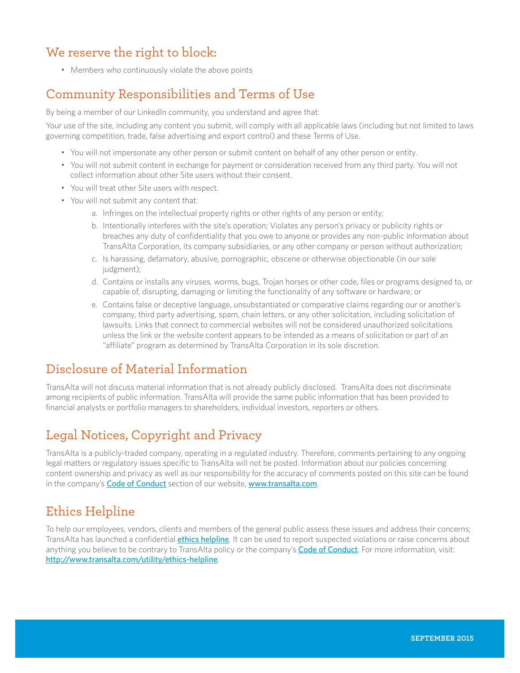# We reserve the right to block:

• Members who continuously violate the above points

# Community Responsibilities and Terms of Use

By being a member of our LinkedIn community, you understand and agree that:

Your use of the site, including any content you submit, will comply with all applicable laws (including but not limited to laws governing competition, trade, false advertising and export control) and these Terms of Use.

- You will not impersonate any other person or submit content on behalf of any other person or entity.
- You will not submit content in exchange for payment or consideration received from any third party. You will not collect information about other Site users without their consent.
- You will treat other Site users with respect.
- You will not submit any content that:
	- a. Infringes on the intellectual property rights or other rights of any person or entity;
	- b. Intentionally interferes with the site's operation; Violates any person's privacy or publicity rights or breaches any duty of confidentiality that you owe to anyone or provides any non-public information about TransAlta Corporation, its company subsidiaries, or any other company or person without authorization;
	- c. Is harassing, defamatory, abusive, pornographic, obscene or otherwise objectionable (in our sole judgment);
	- d. Contains or installs any viruses, worms, bugs, Trojan horses or other code, files or programs designed to, or capable of, disrupting, damaging or limiting the functionality of any software or hardware; or
	- e. Contains false or deceptive language, unsubstantiated or comparative claims regarding our or another's company, third party advertising, spam, chain letters, or any other solicitation, including solicitation of lawsuits. Links that connect to commercial websites will not be considered unauthorized solicitations unless the link or the website content appears to be intended as a means of solicitation or part of an "affiliate" program as determined by TransAlta Corporation in its sole discretion.

# Disclosure of Material Information

TransAlta will not discuss material information that is not already publicly disclosed. TransAlta does not discriminate among recipients of public information. TransAlta will provide the same public information that has been provided to financial analysts or portfolio managers to shareholders, individual investors, reporters or others.

### Legal Notices, Copyright and Privacy

TransAlta is a publicly-traded company, operating in a regulated industry. Therefore, comments pertaining to any ongoing legal matters or regulatory issues specific to TransAlta will not be posted. Information about our policies concerning content ownership and privacy as well as our responsibility for the accuracy of comments posted on this site can be found in the company's [Code of Conduct](http://www.transalta.com/about-us/governance/corporate-code-conduct) section of our website, [www.transalta.com](http://www.transalta.com).

#### Ethics Helpline

To help our employees, vendors, clients and members of the general public assess these issues and address their concerns; TransAlta has launched a confidential *[ethics helpline](http://www.transalta.com/utility/ethics-helpline)*. It can be used to report suspected violations or raise concerns about anything you believe to be contrary to TransAlta policy or the company's **[Code of Conduct](http://www.transalta.com/about-us/governance/corporate-code-conduct)**. For more information, visit: <http://www.transalta.com/utility/ethics-helpline>.